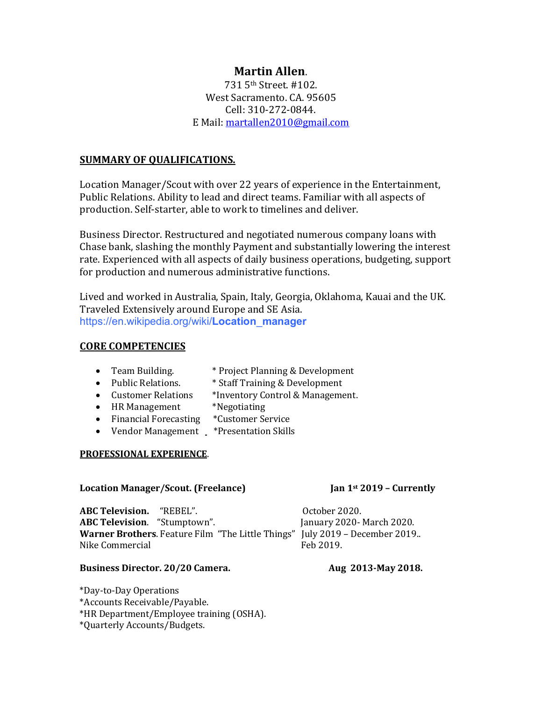# **Martin Allen**.

731 5th Street. #102. West Sacramento. CA. 95605 Cell: 310-272-0844. E Mail: martallen2010@gmail.com

## **SUMMARY OF QUALIFICATIONS.**

Location Manager/Scout with over 22 years of experience in the Entertainment, Public Relations. Ability to lead and direct teams. Familiar with all aspects of production. Self-starter, able to work to timelines and deliver.

Business Director. Restructured and negotiated numerous company loans with Chase bank, slashing the monthly Payment and substantially lowering the interest rate. Experienced with all aspects of daily business operations, budgeting, support for production and numerous administrative functions.

Lived and worked in Australia, Spain, Italy, Georgia, Oklahoma, Kauai and the UK. Traveled Extensively around Europe and SE Asia. https://en.wikipedia.org/wiki/**Location**\_**manager**

## **CORE COMPETENCIES**

- Team Building. \* Project Planning & Development
- Public Relations. \* Staff Training & Development
- Customer Relations \*Inventory Control & Management.
- HR Management \*Negotiating
- Financial Forecasting \*Customer Service
- Vendor Management \*Presentation Skills

### **PROFESSIONAL EXPERIENCE.**

### **Location Manager/Scout.** (Freelance) *Ian* 1st 2019 – Currently

**ABC Television.** "REBEL". October 2020. **ABC Television.** "Stumptown". January 2020- March 2020. **Warner Brothers**. Feature Film "The Little Things" July 2019 – December 2019.. Nike Commercial Feb 2019.

## **Business Director. 20/20 Camera. Aug 2013-May 2018.**

\*Day-to-Day Operations

\*Accounts Receivable/Payable.

\*HR Department/Employee training (OSHA).

\*Quarterly Accounts/Budgets.